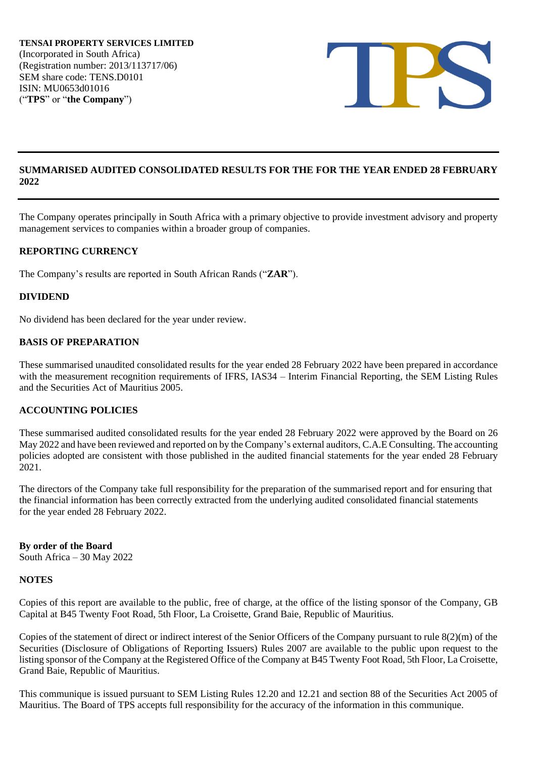

### **SUMMARISED AUDITED CONSOLIDATED RESULTS FOR THE FOR THE YEAR ENDED 28 FEBRUARY 2022**

The Company operates principally in South Africa with a primary objective to provide investment advisory and property management services to companies within a broader group of companies.

### **REPORTING CURRENCY**

The Company's results are reported in South African Rands ("**ZAR**").

### **DIVIDEND**

No dividend has been declared for the year under review.

### **BASIS OF PREPARATION**

These summarised unaudited consolidated results for the year ended 28 February 2022 have been prepared in accordance with the measurement recognition requirements of IFRS, IAS34 – Interim Financial Reporting, the SEM Listing Rules and the Securities Act of Mauritius 2005.

### **ACCOUNTING POLICIES**

These summarised audited consolidated results for the year ended 28 February 2022 were approved by the Board on 26 May 2022 and have been reviewed and reported on by the Company's external auditors, C.A.E Consulting. The accounting policies adopted are consistent with those published in the audited financial statements for the year ended 28 February 2021.

The directors of the Company take full responsibility for the preparation of the summarised report and for ensuring that the financial information has been correctly extracted from the underlying audited consolidated financial statements for the year ended 28 February 2022.

**By order of the Board** South Africa – 30 May 2022

### **NOTES**

Copies of this report are available to the public, free of charge, at the office of the listing sponsor of the Company, GB Capital at B45 Twenty Foot Road, 5th Floor, La Croisette, Grand Baie, Republic of Mauritius.

Copies of the statement of direct or indirect interest of the Senior Officers of the Company pursuant to rule 8(2)(m) of the Securities (Disclosure of Obligations of Reporting Issuers) Rules 2007 are available to the public upon request to the listing sponsor of the Company at the Registered Office of the Company at B45 Twenty Foot Road, 5th Floor, La Croisette, Grand Baie, Republic of Mauritius.

This communique is issued pursuant to SEM Listing Rules 12.20 and 12.21 and section 88 of the Securities Act 2005 of Mauritius. The Board of TPS accepts full responsibility for the accuracy of the information in this communique.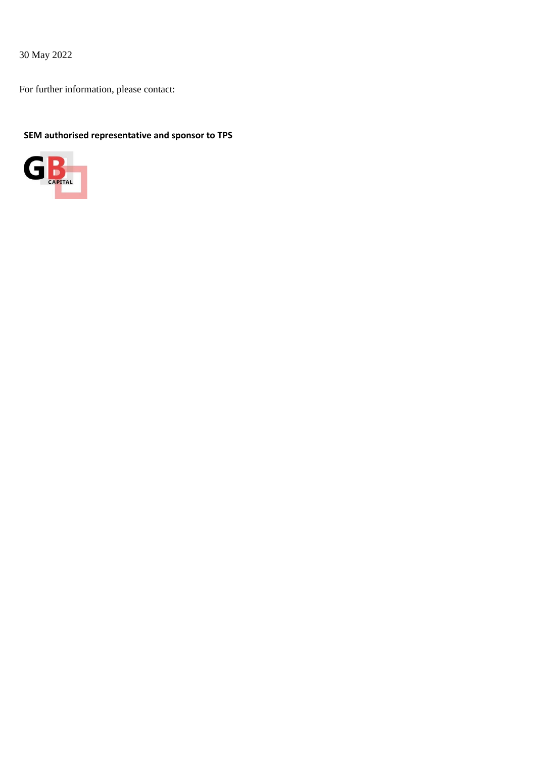30 May 2022

For further information, please contact:

# **SEM authorised representative and sponsor to TPS**

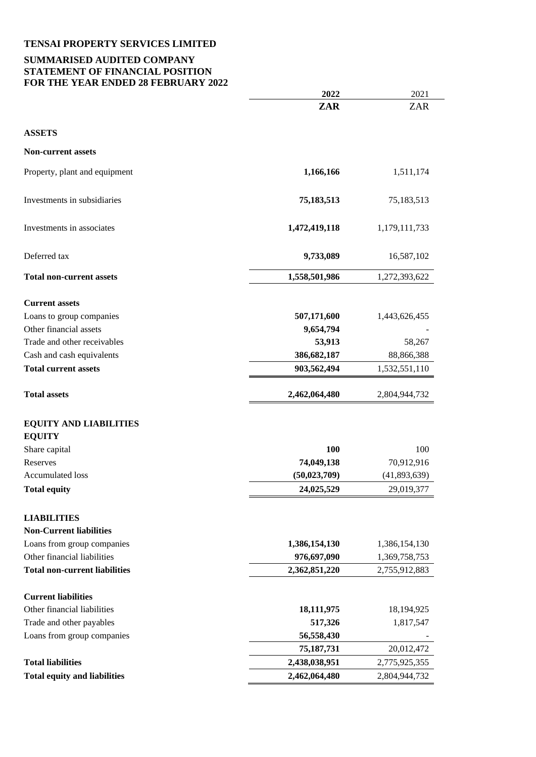# **SUMMARISED AUDITED COMPANY STATEMENT OF FINANCIAL POSITION FOR THE YEAR ENDED 28 FEBRUARY 2022**

| THE TEAKERDED 20 FEDROAKT 2          |                |               |
|--------------------------------------|----------------|---------------|
|                                      | 2022           | 2021          |
|                                      | ZAR            | <b>ZAR</b>    |
| <b>ASSETS</b>                        |                |               |
| <b>Non-current assets</b>            |                |               |
| Property, plant and equipment        | 1,166,166      | 1,511,174     |
| Investments in subsidiaries          | 75,183,513     | 75,183,513    |
| Investments in associates            | 1,472,419,118  | 1,179,111,733 |
| Deferred tax                         | 9,733,089      | 16,587,102    |
| <b>Total non-current assets</b>      | 1,558,501,986  | 1,272,393,622 |
| <b>Current assets</b>                |                |               |
| Loans to group companies             | 507,171,600    | 1,443,626,455 |
| Other financial assets               | 9,654,794      |               |
| Trade and other receivables          | 53,913         | 58,267        |
| Cash and cash equivalents            | 386,682,187    | 88,866,388    |
| <b>Total current assets</b>          | 903,562,494    | 1,532,551,110 |
| <b>Total assets</b>                  | 2,462,064,480  | 2,804,944,732 |
| <b>EQUITY AND LIABILITIES</b>        |                |               |
| <b>EQUITY</b>                        |                |               |
| Share capital                        | 100            | 100           |
| Reserves                             | 74,049,138     | 70,912,916    |
| Accumulated loss                     | (50, 023, 709) | (41,893,639)  |
| <b>Total equity</b>                  | 24,025,529     | 29,019,377    |
| <b>LIABILITIES</b>                   |                |               |
| <b>Non-Current liabilities</b>       |                |               |
| Loans from group companies           | 1,386,154,130  | 1,386,154,130 |
| Other financial liabilities          | 976,697,090    | 1,369,758,753 |
| <b>Total non-current liabilities</b> | 2,362,851,220  | 2,755,912,883 |
| <b>Current liabilities</b>           |                |               |
| Other financial liabilities          | 18,111,975     | 18,194,925    |
| Trade and other payables             | 517,326        | 1,817,547     |
| Loans from group companies           | 56,558,430     |               |
|                                      | 75,187,731     | 20,012,472    |
| <b>Total liabilities</b>             | 2,438,038,951  | 2,775,925,355 |
| <b>Total equity and liabilities</b>  | 2,462,064,480  | 2,804,944,732 |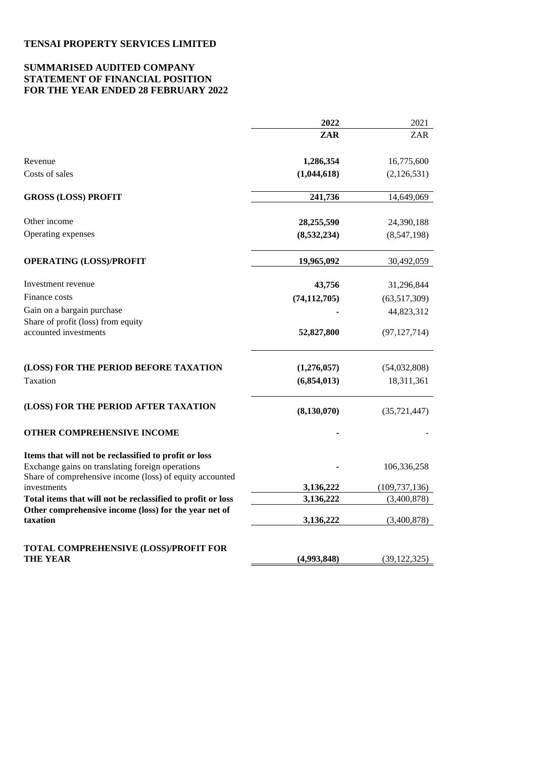## **SUMMARISED AUDITED COMPANY STATEMENT OF FINANCIAL POSITION FOR THE YEAR ENDED 28 FEBRUARY 2022**

|                                                                                                              | 2022           | 2021            |
|--------------------------------------------------------------------------------------------------------------|----------------|-----------------|
|                                                                                                              | ZAR            | <b>ZAR</b>      |
| Revenue                                                                                                      | 1,286,354      | 16,775,600      |
| Costs of sales                                                                                               | (1,044,618)    | (2,126,531)     |
| <b>GROSS (LOSS) PROFIT</b>                                                                                   | 241,736        | 14,649,069      |
| Other income                                                                                                 | 28,255,590     | 24,390,188      |
| Operating expenses                                                                                           | (8,532,234)    | (8,547,198)     |
| <b>OPERATING (LOSS)/PROFIT</b>                                                                               | 19,965,092     | 30,492,059      |
| Investment revenue                                                                                           | 43,756         | 31,296,844      |
| Finance costs                                                                                                | (74, 112, 705) | (63,517,309)    |
| Gain on a bargain purchase                                                                                   |                | 44,823,312      |
| Share of profit (loss) from equity<br>accounted investments                                                  | 52,827,800     | (97, 127, 714)  |
| (LOSS) FOR THE PERIOD BEFORE TAXATION                                                                        | (1,276,057)    | (54,032,808)    |
| Taxation                                                                                                     | (6,854,013)    | 18,311,361      |
| (LOSS) FOR THE PERIOD AFTER TAXATION                                                                         | (8, 130, 070)  | (35, 721, 447)  |
| OTHER COMPREHENSIVE INCOME                                                                                   |                |                 |
| Items that will not be reclassified to profit or loss                                                        |                |                 |
| Exchange gains on translating foreign operations<br>Share of comprehensive income (loss) of equity accounted |                | 106,336,258     |
| investments                                                                                                  | 3,136,222      | (109, 737, 136) |
| Total items that will not be reclassified to profit or loss                                                  | 3,136,222      | (3,400,878)     |
| Other comprehensive income (loss) for the year net of<br>taxation                                            | 3,136,222      | (3,400,878)     |
|                                                                                                              |                |                 |
| TOTAL COMPREHENSIVE (LOSS)/PROFIT FOR<br>THE YEAR                                                            | (4,993,848)    | (39, 122, 325)  |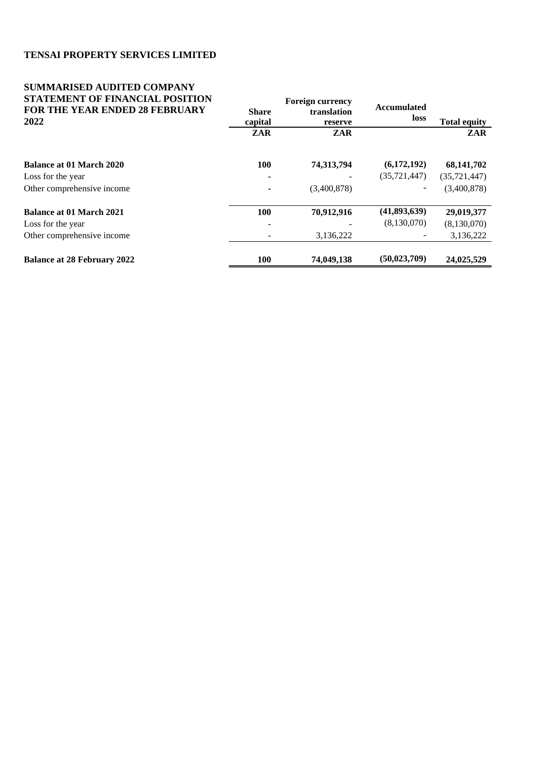## **SUMMARISED AUDITED COMPANY STATEMENT OF FINANCIAL POSITION FOR THE YEAR ENDED 28 FEBRUARY 2022**

| матемент от гинанстан гомпол          | <b>Foreign currency</b> |             | Accumulated    |                     |  |
|---------------------------------------|-------------------------|-------------|----------------|---------------------|--|
| <b>FOR THE YEAR ENDED 28 FEBRUARY</b> | <b>Share</b>            | translation |                |                     |  |
| 2022                                  | capital                 | reserve     | loss           | <b>Total equity</b> |  |
|                                       | ZAR                     | ZAR         |                | ZAR                 |  |
| Balance at 01 March 2020              | <b>100</b>              | 74,313,794  | (6,172,192)    | 68, 141, 702        |  |
| Loss for the year                     |                         |             | (35, 721, 447) | (35, 721, 447)      |  |
| Other comprehensive income            |                         | (3,400,878) |                | (3,400,878)         |  |
| <b>Balance at 01 March 2021</b>       | 100                     | 70,912,916  | (41,893,639)   | 29,019,377          |  |
| Loss for the year                     |                         |             | (8,130,070)    | (8,130,070)         |  |
| Other comprehensive income            |                         | 3,136,222   |                | 3,136,222           |  |
| <b>Balance at 28 February 2022</b>    | 100                     | 74,049,138  | (50, 023, 709) | 24,025,529          |  |

**Foreign currency**